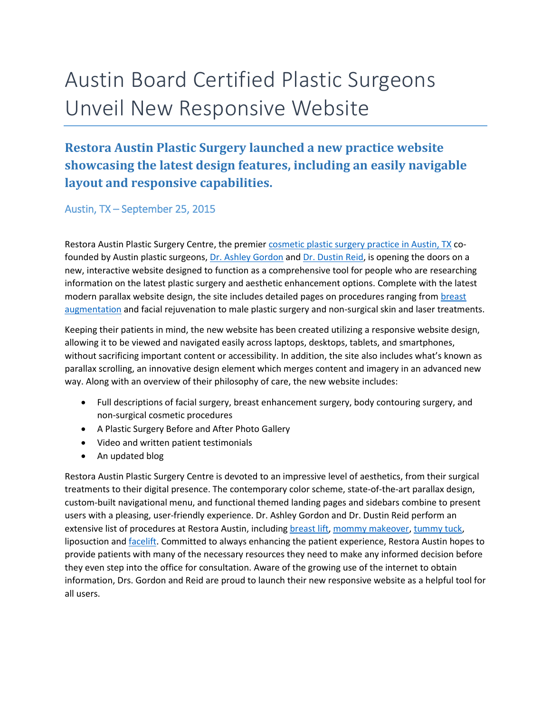## Austin Board Certified Plastic Surgeons Unveil New Responsive Website

## **Restora Austin Plastic Surgery launched a new practice website showcasing the latest design features, including an easily navigable layout and responsive capabilities.**

Austin, TX – September 25, 2015

Restora Austin Plastic Surgery Centre, the premier cosmetic [plastic surgery practice in Austin, TX](http://www.restoraaustin.com/) cofounded by Austin plastic surgeons, [Dr. Ashley Gordon](http://www.restoraaustin.com/our-practice/meet-our-surgeons/female-plastic-surgeon-austin-tx/) and [Dr. Dustin Reid,](http://www.restoraaustin.com/our-practice/meet-our-surgeons/plastic-surgeon-austin-tx/) is opening the doors on a new, interactive website designed to function as a comprehensive tool for people who are researching information on the latest plastic surgery and aesthetic enhancement options. Complete with the latest modern parallax website design, the site includes detailed pages on procedures ranging from [breast](http://www.restoraaustin.com/breast-augmentation-austin-tx/)  [augmentation](http://www.restoraaustin.com/breast-augmentation-austin-tx/) and facial rejuvenation to male plastic surgery and non-surgical skin and laser treatments.

Keeping their patients in mind, the new website has been created utilizing a responsive website design, allowing it to be viewed and navigated easily across laptops, desktops, tablets, and smartphones, without sacrificing important content or accessibility. In addition, the site also includes what's known as parallax scrolling, an innovative design element which merges content and imagery in an advanced new way. Along with an overview of their philosophy of care, the new website includes:

- Full descriptions of facial surgery, breast enhancement surgery, body contouring surgery, and non-surgical cosmetic procedures
- A Plastic Surgery Before and After Photo Gallery
- Video and written patient testimonials
- An updated blog

Restora Austin Plastic Surgery Centre is devoted to an impressive level of aesthetics, from their surgical treatments to their digital presence. The contemporary color scheme, state-of-the-art parallax design, custom-built navigational menu, and functional themed landing pages and sidebars combine to present users with a pleasing, user-friendly experience. Dr. Ashley Gordon and Dr. Dustin Reid perform an extensive list of procedures at Restora Austin, including [breast lift,](http://www.restoraaustin.com/breast-lift-austin-tx/http:/www.restoraaustin.com/breast-augmentation-austin-tx/) [mommy makeover,](http://www.restoraaustin.com/mommy-makeover-austin-tx/) [tummy tuck,](http://www.restoraaustin.com/intro-to-tummy-tuck-abdominoplasty/) liposuction and **facelift**. Committed to always enhancing the patient experience, Restora Austin hopes to provide patients with many of the necessary resources they need to make any informed decision before they even step into the office for consultation. Aware of the growing use of the internet to obtain information, Drs. Gordon and Reid are proud to launch their new responsive website as a helpful tool for all users.